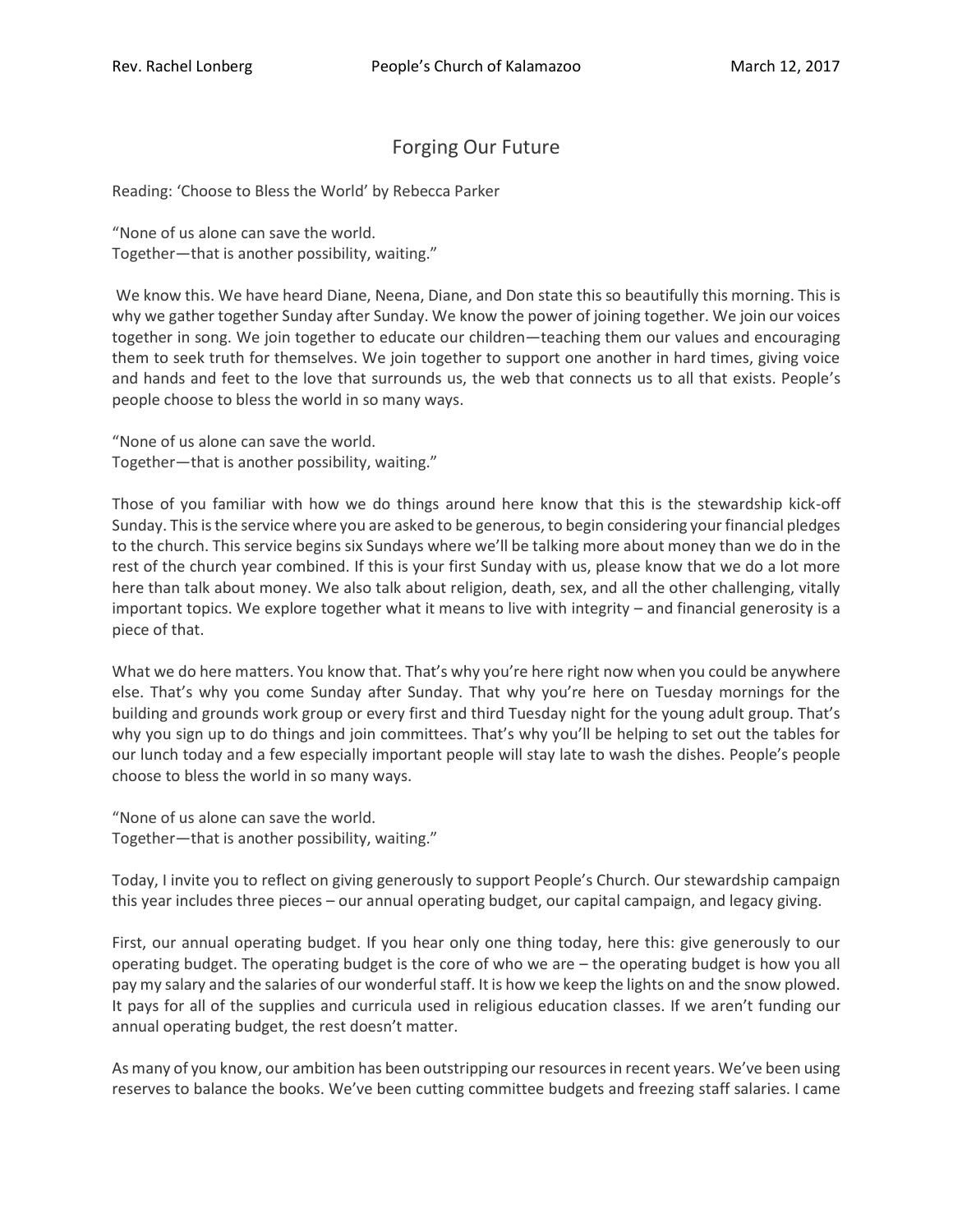## Forging Our Future

Reading: 'Choose to Bless the World' by Rebecca Parker

"None of us alone can save the world. Together—that is another possibility, waiting."

We know this. We have heard Diane, Neena, Diane, and Don state this so beautifully this morning. This is why we gather together Sunday after Sunday. We know the power of joining together. We join our voices together in song. We join together to educate our children—teaching them our values and encouraging them to seek truth for themselves. We join together to support one another in hard times, giving voice and hands and feet to the love that surrounds us, the web that connects us to all that exists. People's people choose to bless the world in so many ways.

"None of us alone can save the world. Together—that is another possibility, waiting."

Those of you familiar with how we do things around here know that this is the stewardship kick-off Sunday. This is the service where you are asked to be generous, to begin considering your financial pledges to the church. This service begins six Sundays where we'll be talking more about money than we do in the rest of the church year combined. If this is your first Sunday with us, please know that we do a lot more here than talk about money. We also talk about religion, death, sex, and all the other challenging, vitally important topics. We explore together what it means to live with integrity – and financial generosity is a piece of that.

What we do here matters. You know that. That's why you're here right now when you could be anywhere else. That's why you come Sunday after Sunday. That why you're here on Tuesday mornings for the building and grounds work group or every first and third Tuesday night for the young adult group. That's why you sign up to do things and join committees. That's why you'll be helping to set out the tables for our lunch today and a few especially important people will stay late to wash the dishes. People's people choose to bless the world in so many ways.

"None of us alone can save the world. Together—that is another possibility, waiting."

Today, I invite you to reflect on giving generously to support People's Church. Our stewardship campaign this year includes three pieces – our annual operating budget, our capital campaign, and legacy giving.

First, our annual operating budget. If you hear only one thing today, here this: give generously to our operating budget. The operating budget is the core of who we are – the operating budget is how you all pay my salary and the salaries of our wonderful staff. It is how we keep the lights on and the snow plowed. It pays for all of the supplies and curricula used in religious education classes. If we aren't funding our annual operating budget, the rest doesn't matter.

As many of you know, our ambition has been outstripping our resources in recent years. We've been using reserves to balance the books. We've been cutting committee budgets and freezing staff salaries. I came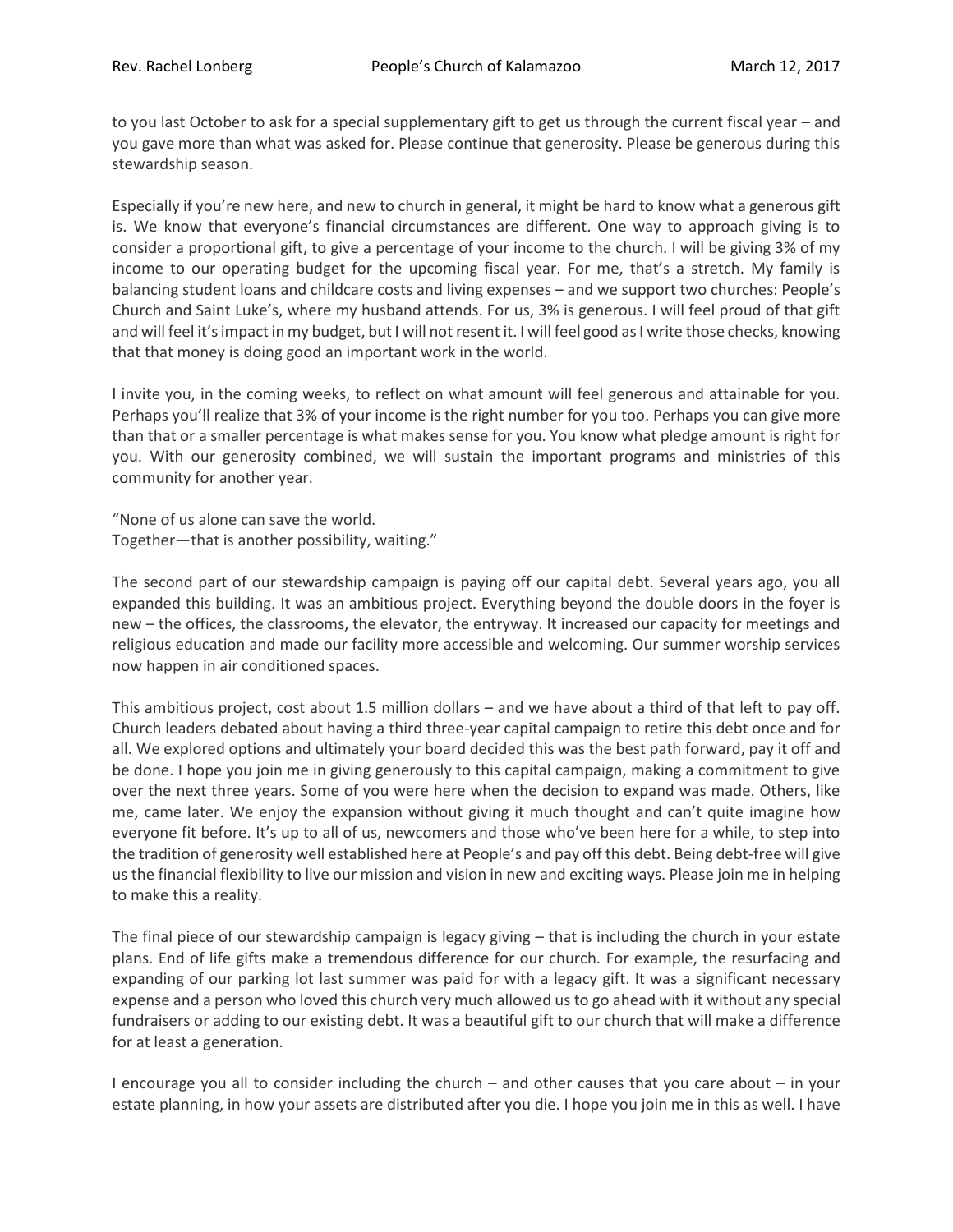to you last October to ask for a special supplementary gift to get us through the current fiscal year – and you gave more than what was asked for. Please continue that generosity. Please be generous during this stewardship season.

Especially if you're new here, and new to church in general, it might be hard to know what a generous gift is. We know that everyone's financial circumstances are different. One way to approach giving is to consider a proportional gift, to give a percentage of your income to the church. I will be giving 3% of my income to our operating budget for the upcoming fiscal year. For me, that's a stretch. My family is balancing student loans and childcare costs and living expenses – and we support two churches: People's Church and Saint Luke's, where my husband attends. For us, 3% is generous. I will feel proud of that gift and will feel it's impact in my budget, but I will not resent it. I will feel good as I write those checks, knowing that that money is doing good an important work in the world.

I invite you, in the coming weeks, to reflect on what amount will feel generous and attainable for you. Perhaps you'll realize that 3% of your income is the right number for you too. Perhaps you can give more than that or a smaller percentage is what makes sense for you. You know what pledge amount is right for you. With our generosity combined, we will sustain the important programs and ministries of this community for another year.

"None of us alone can save the world. Together—that is another possibility, waiting."

The second part of our stewardship campaign is paying off our capital debt. Several years ago, you all expanded this building. It was an ambitious project. Everything beyond the double doors in the foyer is new – the offices, the classrooms, the elevator, the entryway. It increased our capacity for meetings and religious education and made our facility more accessible and welcoming. Our summer worship services now happen in air conditioned spaces.

This ambitious project, cost about 1.5 million dollars – and we have about a third of that left to pay off. Church leaders debated about having a third three-year capital campaign to retire this debt once and for all. We explored options and ultimately your board decided this was the best path forward, pay it off and be done. I hope you join me in giving generously to this capital campaign, making a commitment to give over the next three years. Some of you were here when the decision to expand was made. Others, like me, came later. We enjoy the expansion without giving it much thought and can't quite imagine how everyone fit before. It's up to all of us, newcomers and those who've been here for a while, to step into the tradition of generosity well established here at People's and pay off this debt. Being debt-free will give us the financial flexibility to live our mission and vision in new and exciting ways. Please join me in helping to make this a reality.

The final piece of our stewardship campaign is legacy giving – that is including the church in your estate plans. End of life gifts make a tremendous difference for our church. For example, the resurfacing and expanding of our parking lot last summer was paid for with a legacy gift. It was a significant necessary expense and a person who loved this church very much allowed us to go ahead with it without any special fundraisers or adding to our existing debt. It was a beautiful gift to our church that will make a difference for at least a generation.

I encourage you all to consider including the church – and other causes that you care about – in your estate planning, in how your assets are distributed after you die. I hope you join me in this as well. I have